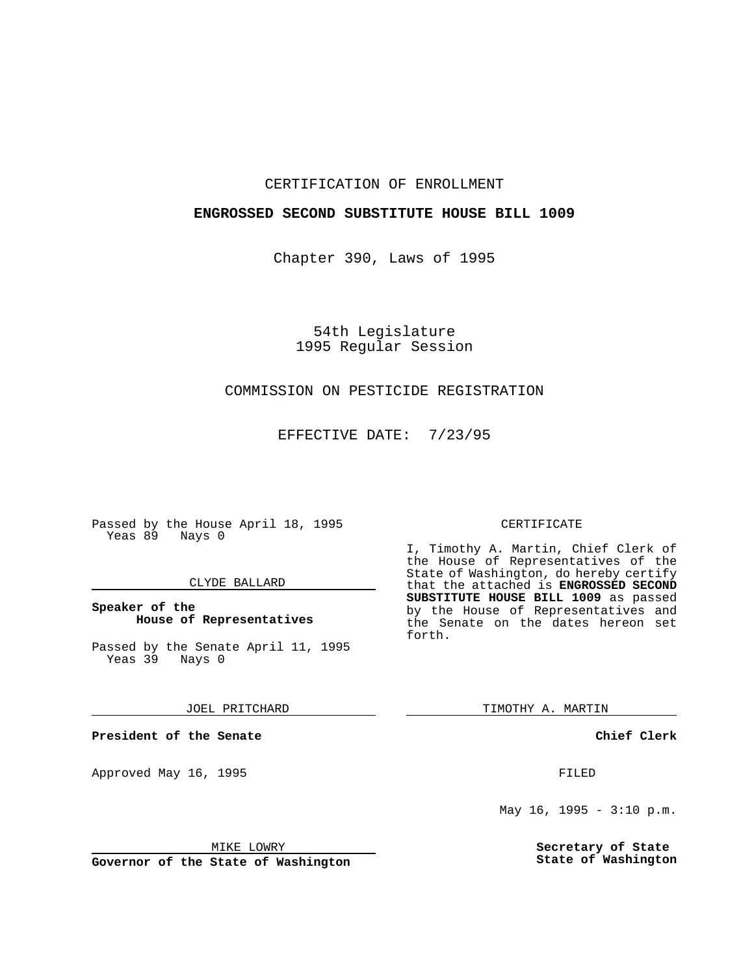### CERTIFICATION OF ENROLLMENT

## **ENGROSSED SECOND SUBSTITUTE HOUSE BILL 1009**

Chapter 390, Laws of 1995

54th Legislature 1995 Regular Session

# COMMISSION ON PESTICIDE REGISTRATION

EFFECTIVE DATE: 7/23/95

Passed by the House April 18, 1995 Yeas 89 Nays 0

### CLYDE BALLARD

## **Speaker of the House of Representatives**

Passed by the Senate April 11, 1995 Yeas 39 Nays 0

JOEL PRITCHARD

**President of the Senate**

Approved May 16, 1995 **FILED** 

MIKE LOWRY

**Governor of the State of Washington**

#### CERTIFICATE

I, Timothy A. Martin, Chief Clerk of the House of Representatives of the State of Washington, do hereby certify that the attached is **ENGROSSED SECOND SUBSTITUTE HOUSE BILL 1009** as passed by the House of Representatives and the Senate on the dates hereon set forth.

TIMOTHY A. MARTIN

**Chief Clerk**

May  $16$ ,  $1995 - 3:10$  p.m.

**Secretary of State State of Washington**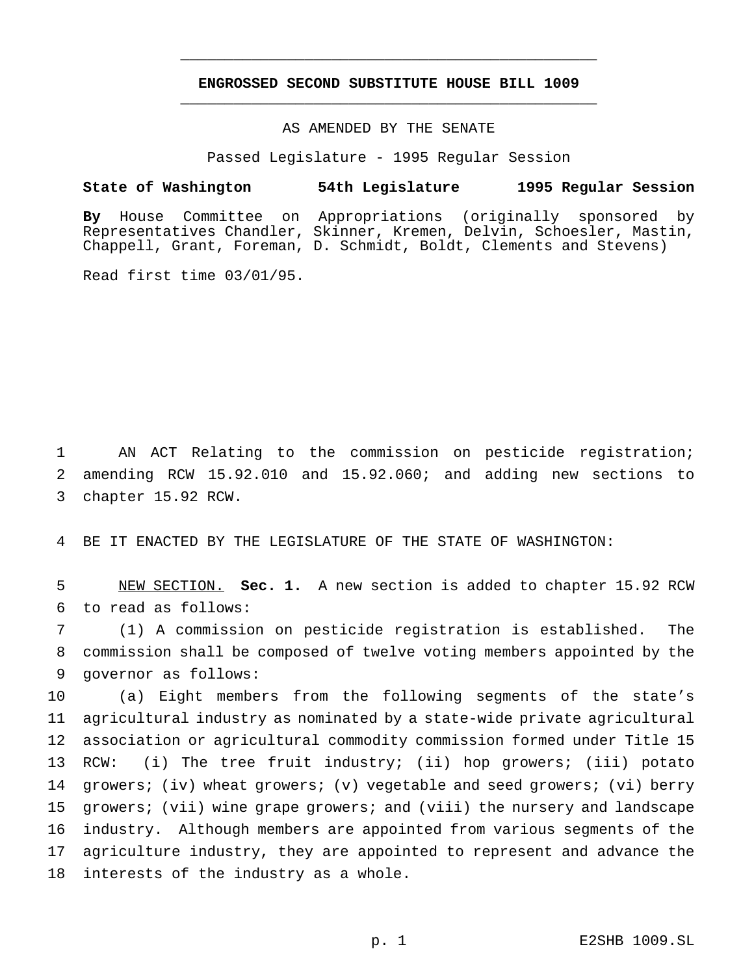## **ENGROSSED SECOND SUBSTITUTE HOUSE BILL 1009** \_\_\_\_\_\_\_\_\_\_\_\_\_\_\_\_\_\_\_\_\_\_\_\_\_\_\_\_\_\_\_\_\_\_\_\_\_\_\_\_\_\_\_\_\_\_\_

\_\_\_\_\_\_\_\_\_\_\_\_\_\_\_\_\_\_\_\_\_\_\_\_\_\_\_\_\_\_\_\_\_\_\_\_\_\_\_\_\_\_\_\_\_\_\_

# AS AMENDED BY THE SENATE

Passed Legislature - 1995 Regular Session

#### **State of Washington 54th Legislature 1995 Regular Session**

**By** House Committee on Appropriations (originally sponsored by Representatives Chandler, Skinner, Kremen, Delvin, Schoesler, Mastin, Chappell, Grant, Foreman, D. Schmidt, Boldt, Clements and Stevens)

Read first time 03/01/95.

 AN ACT Relating to the commission on pesticide registration; amending RCW 15.92.010 and 15.92.060; and adding new sections to chapter 15.92 RCW.

BE IT ENACTED BY THE LEGISLATURE OF THE STATE OF WASHINGTON:

 NEW SECTION. **Sec. 1.** A new section is added to chapter 15.92 RCW to read as follows:

 (1) A commission on pesticide registration is established. The commission shall be composed of twelve voting members appointed by the governor as follows:

 (a) Eight members from the following segments of the state's agricultural industry as nominated by a state-wide private agricultural association or agricultural commodity commission formed under Title 15 RCW: (i) The tree fruit industry; (ii) hop growers; (iii) potato growers; (iv) wheat growers; (v) vegetable and seed growers; (vi) berry growers; (vii) wine grape growers; and (viii) the nursery and landscape industry. Although members are appointed from various segments of the agriculture industry, they are appointed to represent and advance the interests of the industry as a whole.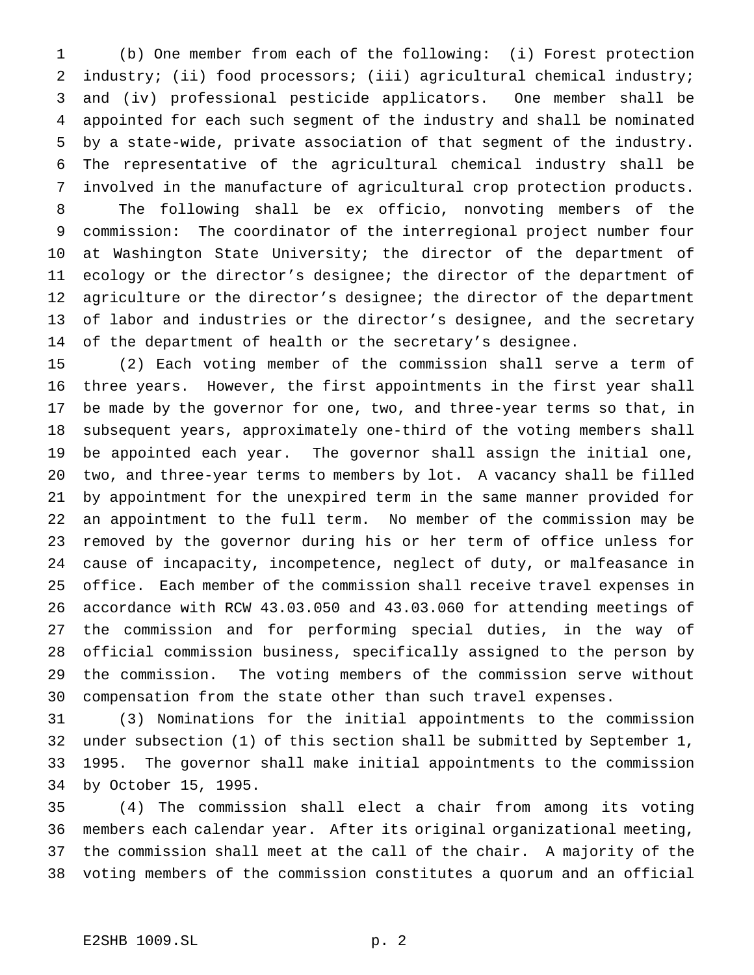(b) One member from each of the following: (i) Forest protection industry; (ii) food processors; (iii) agricultural chemical industry; and (iv) professional pesticide applicators. One member shall be appointed for each such segment of the industry and shall be nominated by a state-wide, private association of that segment of the industry. The representative of the agricultural chemical industry shall be involved in the manufacture of agricultural crop protection products. The following shall be ex officio, nonvoting members of the commission: The coordinator of the interregional project number four 10 at Washington State University; the director of the department of

 ecology or the director's designee; the director of the department of agriculture or the director's designee; the director of the department of labor and industries or the director's designee, and the secretary of the department of health or the secretary's designee.

 (2) Each voting member of the commission shall serve a term of three years. However, the first appointments in the first year shall be made by the governor for one, two, and three-year terms so that, in subsequent years, approximately one-third of the voting members shall be appointed each year. The governor shall assign the initial one, two, and three-year terms to members by lot. A vacancy shall be filled by appointment for the unexpired term in the same manner provided for an appointment to the full term. No member of the commission may be removed by the governor during his or her term of office unless for cause of incapacity, incompetence, neglect of duty, or malfeasance in office. Each member of the commission shall receive travel expenses in accordance with RCW 43.03.050 and 43.03.060 for attending meetings of the commission and for performing special duties, in the way of official commission business, specifically assigned to the person by the commission. The voting members of the commission serve without compensation from the state other than such travel expenses.

 (3) Nominations for the initial appointments to the commission under subsection (1) of this section shall be submitted by September 1, 1995. The governor shall make initial appointments to the commission by October 15, 1995.

 (4) The commission shall elect a chair from among its voting members each calendar year. After its original organizational meeting, the commission shall meet at the call of the chair. A majority of the voting members of the commission constitutes a quorum and an official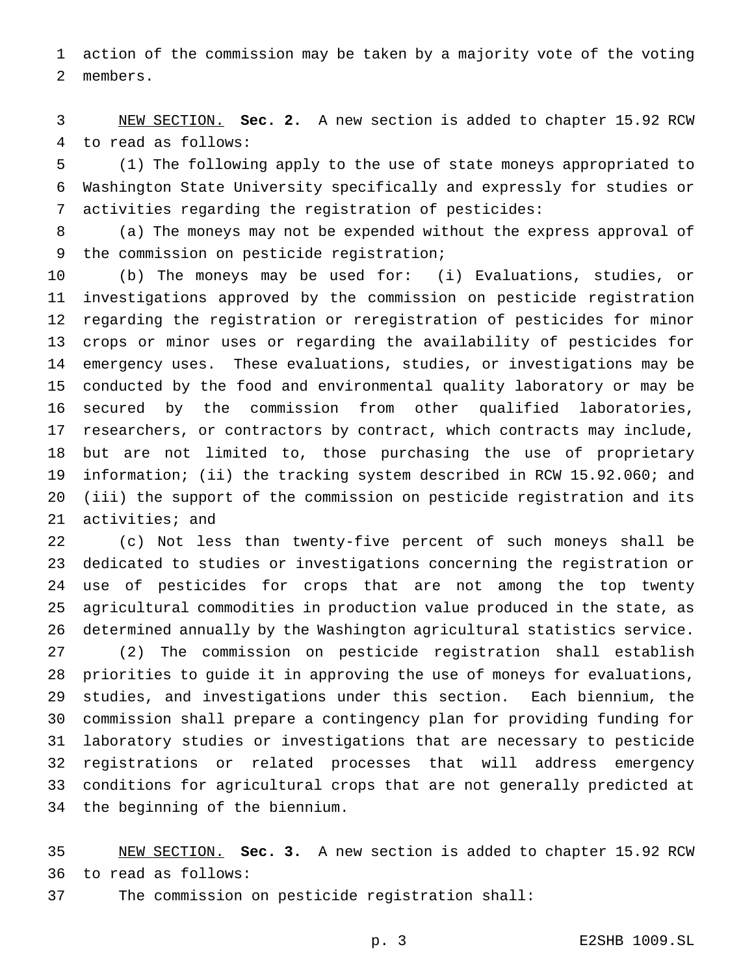action of the commission may be taken by a majority vote of the voting members.

 NEW SECTION. **Sec. 2.** A new section is added to chapter 15.92 RCW to read as follows:

 (1) The following apply to the use of state moneys appropriated to Washington State University specifically and expressly for studies or activities regarding the registration of pesticides:

 (a) The moneys may not be expended without the express approval of 9 the commission on pesticide registration;

 (b) The moneys may be used for: (i) Evaluations, studies, or investigations approved by the commission on pesticide registration regarding the registration or reregistration of pesticides for minor crops or minor uses or regarding the availability of pesticides for emergency uses. These evaluations, studies, or investigations may be conducted by the food and environmental quality laboratory or may be secured by the commission from other qualified laboratories, researchers, or contractors by contract, which contracts may include, but are not limited to, those purchasing the use of proprietary information; (ii) the tracking system described in RCW 15.92.060; and (iii) the support of the commission on pesticide registration and its activities; and

 (c) Not less than twenty-five percent of such moneys shall be dedicated to studies or investigations concerning the registration or use of pesticides for crops that are not among the top twenty agricultural commodities in production value produced in the state, as determined annually by the Washington agricultural statistics service.

 (2) The commission on pesticide registration shall establish priorities to guide it in approving the use of moneys for evaluations, studies, and investigations under this section. Each biennium, the commission shall prepare a contingency plan for providing funding for laboratory studies or investigations that are necessary to pesticide registrations or related processes that will address emergency conditions for agricultural crops that are not generally predicted at the beginning of the biennium.

 NEW SECTION. **Sec. 3.** A new section is added to chapter 15.92 RCW to read as follows:

The commission on pesticide registration shall: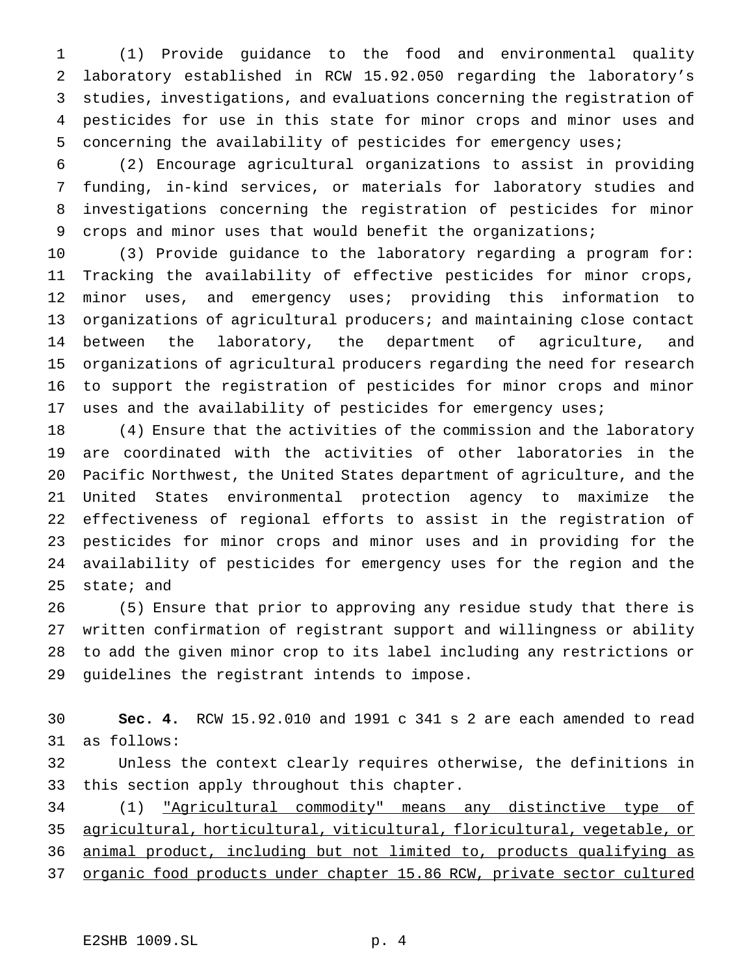(1) Provide guidance to the food and environmental quality laboratory established in RCW 15.92.050 regarding the laboratory's studies, investigations, and evaluations concerning the registration of pesticides for use in this state for minor crops and minor uses and concerning the availability of pesticides for emergency uses;

 (2) Encourage agricultural organizations to assist in providing funding, in-kind services, or materials for laboratory studies and investigations concerning the registration of pesticides for minor crops and minor uses that would benefit the organizations;

 (3) Provide guidance to the laboratory regarding a program for: Tracking the availability of effective pesticides for minor crops, minor uses, and emergency uses; providing this information to organizations of agricultural producers; and maintaining close contact between the laboratory, the department of agriculture, and organizations of agricultural producers regarding the need for research to support the registration of pesticides for minor crops and minor uses and the availability of pesticides for emergency uses;

 (4) Ensure that the activities of the commission and the laboratory are coordinated with the activities of other laboratories in the Pacific Northwest, the United States department of agriculture, and the United States environmental protection agency to maximize the effectiveness of regional efforts to assist in the registration of pesticides for minor crops and minor uses and in providing for the availability of pesticides for emergency uses for the region and the state; and

 (5) Ensure that prior to approving any residue study that there is written confirmation of registrant support and willingness or ability to add the given minor crop to its label including any restrictions or guidelines the registrant intends to impose.

 **Sec. 4.** RCW 15.92.010 and 1991 c 341 s 2 are each amended to read as follows:

 Unless the context clearly requires otherwise, the definitions in this section apply throughout this chapter.

 (1) "Agricultural commodity" means any distinctive type of agricultural, horticultural, viticultural, floricultural, vegetable, or animal product, including but not limited to, products qualifying as

organic food products under chapter 15.86 RCW, private sector cultured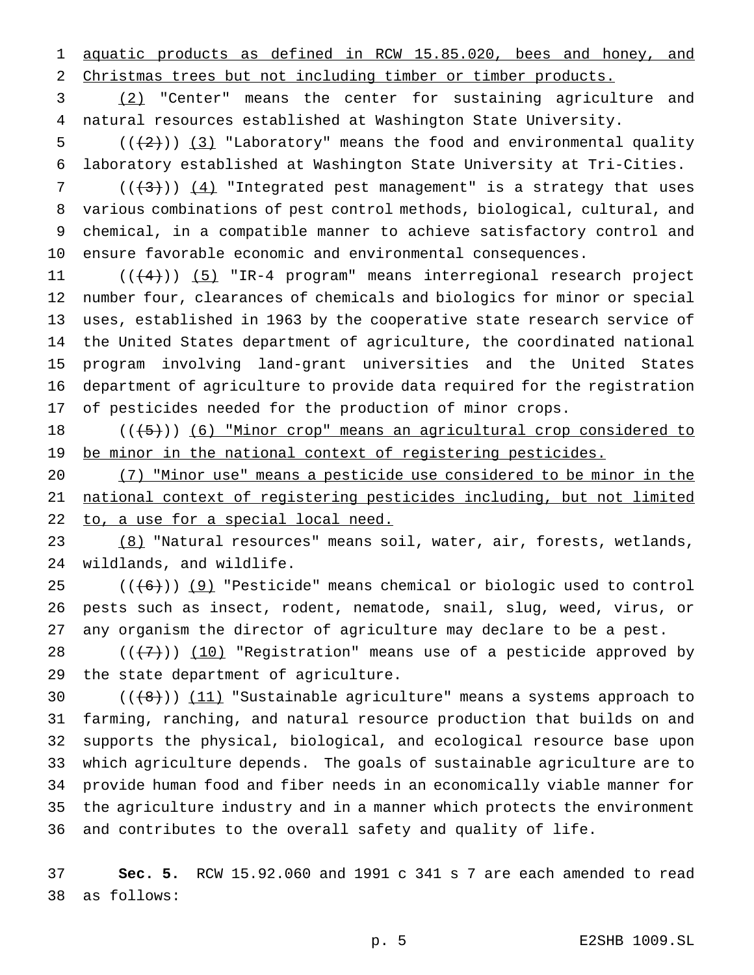aquatic products as defined in RCW 15.85.020, bees and honey, and Christmas trees but not including timber or timber products.

 (2) "Center" means the center for sustaining agriculture and natural resources established at Washington State University.

5  $((+2))$   $(3)$  "Laboratory" means the food and environmental quality laboratory established at Washington State University at Tri-Cities.

 $((+3))$   $(4)$  "Integrated pest management" is a strategy that uses various combinations of pest control methods, biological, cultural, and chemical, in a compatible manner to achieve satisfactory control and ensure favorable economic and environmental consequences.

11 ((<del>(4)</del>)) <u>(5)</u> "IR-4 program" means interregional research project number four, clearances of chemicals and biologics for minor or special uses, established in 1963 by the cooperative state research service of the United States department of agriculture, the coordinated national program involving land-grant universities and the United States department of agriculture to provide data required for the registration of pesticides needed for the production of minor crops.

18 (((5))) (6) "Minor crop" means an agricultural crop considered to 19 be minor in the national context of registering pesticides.

 (7) "Minor use" means a pesticide use considered to be minor in the national context of registering pesticides including, but not limited 22 to, a use for a special local need.

23 (8) "Natural resources" means soil, water, air, forests, wetlands, wildlands, and wildlife.

 $((+6))$  (9) "Pesticide" means chemical or biologic used to control pests such as insect, rodent, nematode, snail, slug, weed, virus, or any organism the director of agriculture may declare to be a pest.

28  $((+7))$   $(10)$  "Registration" means use of a pesticide approved by the state department of agriculture.

 $((+8))$   $(11)$  "Sustainable agriculture" means a systems approach to farming, ranching, and natural resource production that builds on and supports the physical, biological, and ecological resource base upon which agriculture depends. The goals of sustainable agriculture are to provide human food and fiber needs in an economically viable manner for the agriculture industry and in a manner which protects the environment and contributes to the overall safety and quality of life.

 **Sec. 5.** RCW 15.92.060 and 1991 c 341 s 7 are each amended to read as follows: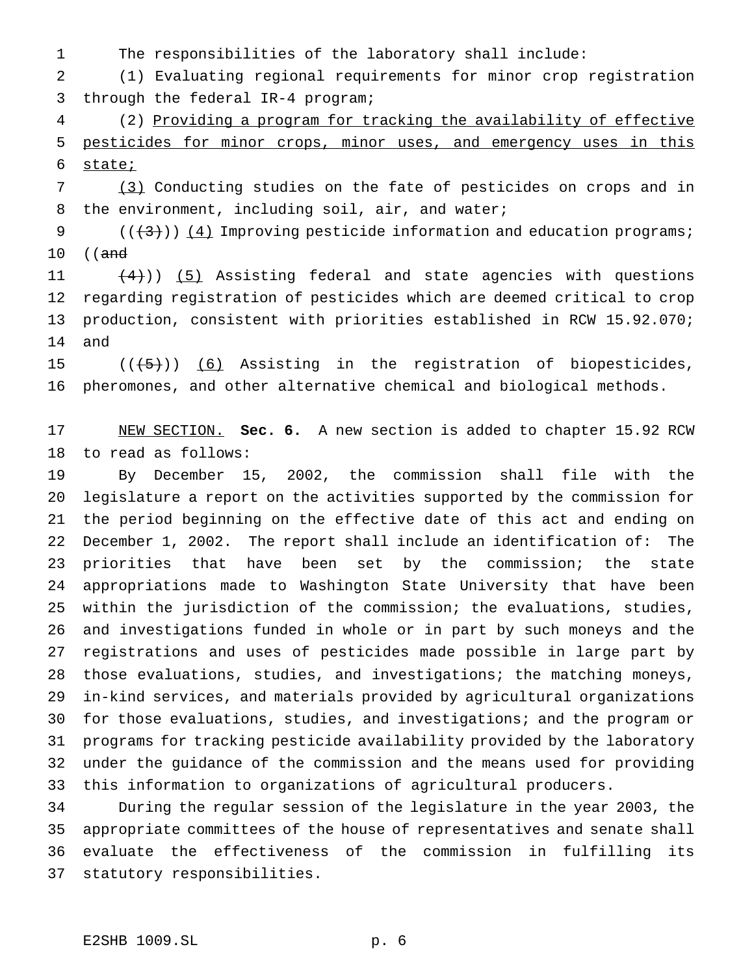The responsibilities of the laboratory shall include:

 (1) Evaluating regional requirements for minor crop registration through the federal IR-4 program;

 (2) Providing a program for tracking the availability of effective pesticides for minor crops, minor uses, and emergency uses in this state;

 (3) Conducting studies on the fate of pesticides on crops and in the environment, including soil, air, and water;

9  $((+3))$   $(4)$  Improving pesticide information and education programs; 10 ((<del>and</del>

 $(4)$ ) (5) Assisting federal and state agencies with questions regarding registration of pesticides which are deemed critical to crop production, consistent with priorities established in RCW 15.92.070; and

15  $((+5))$   $(6)$  Assisting in the registration of biopesticides, pheromones, and other alternative chemical and biological methods.

 NEW SECTION. **Sec. 6.** A new section is added to chapter 15.92 RCW to read as follows:

 By December 15, 2002, the commission shall file with the legislature a report on the activities supported by the commission for the period beginning on the effective date of this act and ending on December 1, 2002. The report shall include an identification of: The priorities that have been set by the commission; the state appropriations made to Washington State University that have been within the jurisdiction of the commission; the evaluations, studies, and investigations funded in whole or in part by such moneys and the registrations and uses of pesticides made possible in large part by those evaluations, studies, and investigations; the matching moneys, in-kind services, and materials provided by agricultural organizations for those evaluations, studies, and investigations; and the program or programs for tracking pesticide availability provided by the laboratory under the guidance of the commission and the means used for providing this information to organizations of agricultural producers.

 During the regular session of the legislature in the year 2003, the appropriate committees of the house of representatives and senate shall evaluate the effectiveness of the commission in fulfilling its statutory responsibilities.